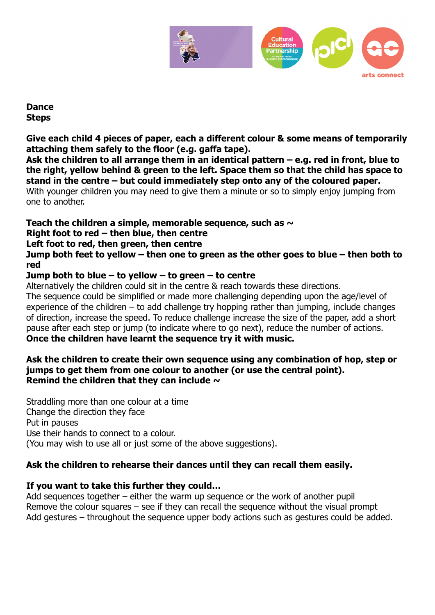

### **Dance Steps**

**Give each child 4 pieces of paper, each a different colour & some means of temporarily attaching them safely to the floor (e.g. gaffa tape).**

**Ask the children to all arrange them in an identical pattern – e.g. red in front, blue to the right, yellow behind & green to the left. Space them so that the child has space to stand in the centre – but could immediately step onto any of the coloured paper.** With younger children you may need to give them a minute or so to simply enjoy jumping from one to another.

# **Teach the children a simple, memorable sequence, such as ~**

### **Right foot to red – then blue, then centre**

### **Left foot to red, then green, then centre**

**Jump both feet to yellow – then one to green as the other goes to blue – then both to red**

# **Jump both to blue – to yellow – to green – to centre**

Alternatively the children could sit in the centre & reach towards these directions.

The sequence could be simplified or made more challenging depending upon the age/level of experience of the children – to add challenge try hopping rather than jumping, include changes of direction, increase the speed. To reduce challenge increase the size of the paper, add a short pause after each step or jump (to indicate where to go next), reduce the number of actions. **Once the children have learnt the sequence try it with music.**

#### **Ask the children to create their own sequence using any combination of hop, step or jumps to get them from one colour to another (or use the central point). Remind the children that they can include ~**

Straddling more than one colour at a time Change the direction they face Put in pauses Use their hands to connect to a colour. (You may wish to use all or just some of the above suggestions).

# **Ask the children to rehearse their dances until they can recall them easily.**

# **If you want to take this further they could…**

Add sequences together – either the warm up sequence or the work of another pupil Remove the colour squares – see if they can recall the sequence without the visual prompt Add gestures – throughout the sequence upper body actions such as gestures could be added.